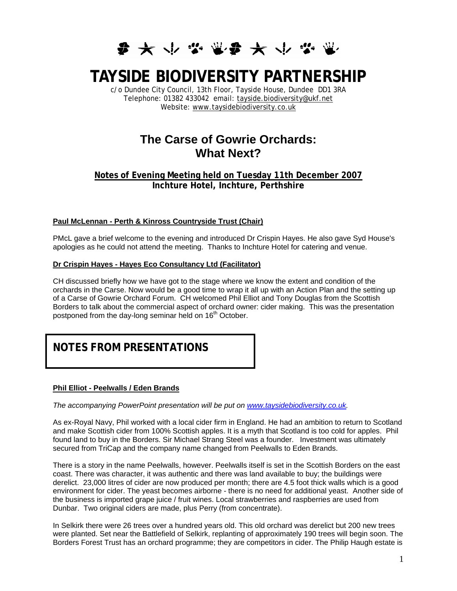

# **TAYSIDE BIODIVERSITY PARTNERSHIP**

c/o Dundee City Council, 13th Floor, Tayside House, Dundee DD1 3RA Telephone: 01382 433042 email: tayside.biodiversity@ukf.net Website: www.taysidebiodiversity.co.uk

# **The Carse of Gowrie Orchards: What Next?**

**Notes of Evening Meeting held on Tuesday 11th December 2007 Inchture Hotel, Inchture, Perthshire** 

# **Paul McLennan - Perth & Kinross Countryside Trust (Chair)**

PMcL gave a brief welcome to the evening and introduced Dr Crispin Hayes. He also gave Syd House's apologies as he could not attend the meeting. Thanks to Inchture Hotel for catering and venue.

### **Dr Crispin Hayes - Hayes Eco Consultancy Ltd (Facilitator)**

CH discussed briefly how we have got to the stage where we know the extent and condition of the orchards in the Carse. Now would be a good time to wrap it all up with an Action Plan and the setting up of a Carse of Gowrie Orchard Forum. CH welcomed Phil Elliot and Tony Douglas from the Scottish Borders to talk about the commercial aspect of orchard owner: cider making. This was the presentation postponed from the day-long seminar held on 16<sup>th</sup> October.

# **NOTES FROM PRESENTATIONS**

# **Phil Elliot - Peelwalls / Eden Brands**

*The accompanying PowerPoint presentation will be put on [www.taysidebiodiversity.co.uk.](http://www.taysidebiodiversity.co.uk/)* 

As ex-Royal Navy, Phil worked with a local cider firm in England. He had an ambition to return to Scotland and make Scottish cider from 100% Scottish apples. It is a myth that Scotland is too cold for apples. Phil found land to buy in the Borders. Sir Michael Strang Steel was a founder. Investment was ultimately secured from TriCap and the company name changed from Peelwalls to Eden Brands.

There is a story in the name Peelwalls, however. Peelwalls itself is set in the Scottish Borders on the east coast. There was character, it was authentic and there was land available to buy; the buildings were derelict. 23,000 litres of cider are now produced per month; there are 4.5 foot thick walls which is a good environment for cider. The yeast becomes airborne - there is no need for additional yeast. Another side of the business is imported grape juice / fruit wines. Local strawberries and raspberries are used from Dunbar. Two original ciders are made, plus Perry (from concentrate).

In Selkirk there were 26 trees over a hundred years old. This old orchard was derelict but 200 new trees were planted. Set near the Battlefield of Selkirk, replanting of approximately 190 trees will begin soon. The Borders Forest Trust has an orchard programme; they are competitors in cider. The Philip Haugh estate is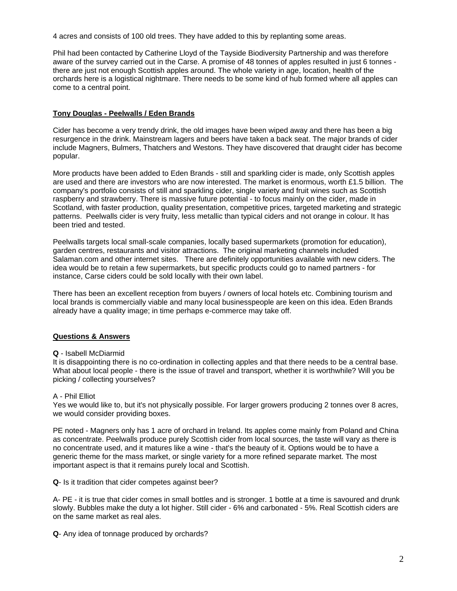4 acres and consists of 100 old trees. They have added to this by replanting some areas.

Phil had been contacted by Catherine Lloyd of the Tayside Biodiversity Partnership and was therefore aware of the survey carried out in the Carse. A promise of 48 tonnes of apples resulted in just 6 tonnes there are just not enough Scottish apples around. The whole variety in age, location, health of the orchards here is a logistical nightmare. There needs to be some kind of hub formed where all apples can come to a central point.

# **Tony Douglas - Peelwalls / Eden Brands**

Cider has become a very trendy drink, the old images have been wiped away and there has been a big resurgence in the drink. Mainstream lagers and beers have taken a back seat. The major brands of cider include Magners, Bulmers, Thatchers and Westons. They have discovered that draught cider has become popular.

More products have been added to Eden Brands - still and sparkling cider is made, only Scottish apples are used and there are investors who are now interested. The market is enormous, worth £1.5 billion. The company's portfolio consists of still and sparkling cider, single variety and fruit wines such as Scottish raspberry and strawberry. There is massive future potential - to focus mainly on the cider, made in Scotland, with faster production, quality presentation, competitive prices, targeted marketing and strategic patterns. Peelwalls cider is very fruity, less metallic than typical ciders and not orange in colour. It has been tried and tested.

Peelwalls targets local small-scale companies, locally based supermarkets (promotion for education), garden centres, restaurants and visitor attractions. The original marketing channels included Salaman.com and other internet sites. There are definitely opportunities available with new ciders. The idea would be to retain a few supermarkets, but specific products could go to named partners - for instance, Carse ciders could be sold locally with their own label.

There has been an excellent reception from buyers / owners of local hotels etc. Combining tourism and local brands is commercially viable and many local businesspeople are keen on this idea. Eden Brands already have a quality image; in time perhaps e-commerce may take off.

# **Questions & Answers**

# **Q** - Isabell McDiarmid

It is disappointing there is no co-ordination in collecting apples and that there needs to be a central base. What about local people - there is the issue of travel and transport, whether it is worthwhile? Will you be picking / collecting yourselves?

# A - Phil Elliot

Yes we would like to, but it's not physically possible. For larger growers producing 2 tonnes over 8 acres, we would consider providing boxes.

PE noted - Magners only has 1 acre of orchard in Ireland. Its apples come mainly from Poland and China as concentrate. Peelwalls produce purely Scottish cider from local sources, the taste will vary as there is no concentrate used, and it matures like a wine - that's the beauty of it. Options would be to have a generic theme for the mass market, or single variety for a more refined separate market. The most important aspect is that it remains purely local and Scottish.

**Q**- Is it tradition that cider competes against beer?

A- PE - it is true that cider comes in small bottles and is stronger. 1 bottle at a time is savoured and drunk slowly. Bubbles make the duty a lot higher. Still cider - 6% and carbonated - 5%. Real Scottish ciders are on the same market as real ales.

**Q**- Any idea of tonnage produced by orchards?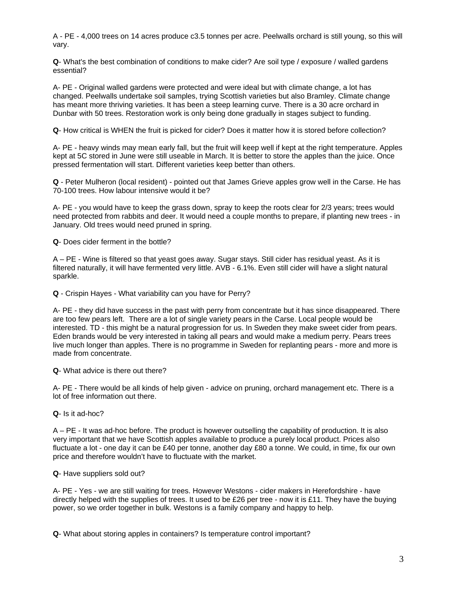A - PE - 4,000 trees on 14 acres produce c3.5 tonnes per acre. Peelwalls orchard is still young, so this will vary.

**Q**- What's the best combination of conditions to make cider? Are soil type / exposure / walled gardens essential?

A- PE - Original walled gardens were protected and were ideal but with climate change, a lot has changed. Peelwalls undertake soil samples, trying Scottish varieties but also Bramley. Climate change has meant more thriving varieties. It has been a steep learning curve. There is a 30 acre orchard in Dunbar with 50 trees. Restoration work is only being done gradually in stages subject to funding.

**Q**- How critical is WHEN the fruit is picked for cider? Does it matter how it is stored before collection?

A- PE - heavy winds may mean early fall, but the fruit will keep well if kept at the right temperature. Apples kept at 5C stored in June were still useable in March. It is better to store the apples than the juice. Once pressed fermentation will start. Different varieties keep better than others.

**Q** - Peter Mulheron (local resident) - pointed out that James Grieve apples grow well in the Carse. He has 70-100 trees. How labour intensive would it be?

A- PE - you would have to keep the grass down, spray to keep the roots clear for 2/3 years; trees would need protected from rabbits and deer. It would need a couple months to prepare, if planting new trees - in January. Old trees would need pruned in spring.

**Q**- Does cider ferment in the bottle?

A – PE - Wine is filtered so that yeast goes away. Sugar stays. Still cider has residual yeast. As it is filtered naturally, it will have fermented very little. AVB - 6.1%. Even still cider will have a slight natural sparkle.

**Q** - Crispin Hayes - What variability can you have for Perry?

A- PE - they did have success in the past with perry from concentrate but it has since disappeared. There are too few pears left. There are a lot of single variety pears in the Carse. Local people would be interested. TD - this might be a natural progression for us. In Sweden they make sweet cider from pears. Eden brands would be very interested in taking all pears and would make a medium perry. Pears trees live much longer than apples. There is no programme in Sweden for replanting pears - more and more is made from concentrate.

**Q**- What advice is there out there?

A- PE - There would be all kinds of help given - advice on pruning, orchard management etc. There is a lot of free information out there.

**Q**- Is it ad-hoc?

A – PE - It was ad-hoc before. The product is however outselling the capability of production. It is also very important that we have Scottish apples available to produce a purely local product. Prices also fluctuate a lot - one day it can be £40 per tonne, another day £80 a tonne. We could, in time, fix our own price and therefore wouldn't have to fluctuate with the market.

**Q**- Have suppliers sold out?

A- PE - Yes - we are still waiting for trees. However Westons - cider makers in Herefordshire - have directly helped with the supplies of trees. It used to be £26 per tree - now it is £11. They have the buying power, so we order together in bulk. Westons is a family company and happy to help.

**Q**- What about storing apples in containers? Is temperature control important?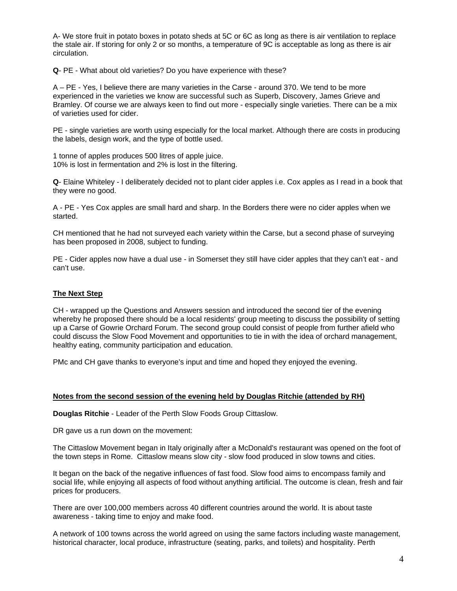A- We store fruit in potato boxes in potato sheds at 5C or 6C as long as there is air ventilation to replace the stale air. If storing for only 2 or so months, a temperature of 9C is acceptable as long as there is air circulation.

**Q**- PE - What about old varieties? Do you have experience with these?

A – PE - Yes, I believe there are many varieties in the Carse - around 370. We tend to be more experienced in the varieties we know are successful such as Superb, Discovery, James Grieve and Bramley. Of course we are always keen to find out more - especially single varieties. There can be a mix of varieties used for cider.

PE - single varieties are worth using especially for the local market. Although there are costs in producing the labels, design work, and the type of bottle used.

1 tonne of apples produces 500 litres of apple juice. 10% is lost in fermentation and 2% is lost in the filtering.

**Q**- Elaine Whiteley - I deliberately decided not to plant cider apples i.e. Cox apples as I read in a book that they were no good.

A - PE - Yes Cox apples are small hard and sharp. In the Borders there were no cider apples when we started.

CH mentioned that he had not surveyed each variety within the Carse, but a second phase of surveying has been proposed in 2008, subject to funding.

PE - Cider apples now have a dual use - in Somerset they still have cider apples that they can't eat - and can't use.

### **The Next Step**

CH - wrapped up the Questions and Answers session and introduced the second tier of the evening whereby he proposed there should be a local residents' group meeting to discuss the possibility of setting up a Carse of Gowrie Orchard Forum. The second group could consist of people from further afield who could discuss the Slow Food Movement and opportunities to tie in with the idea of orchard management, healthy eating, community participation and education.

PMc and CH gave thanks to everyone's input and time and hoped they enjoyed the evening.

### **Notes from the second session of the evening held by Douglas Ritchie (attended by RH)**

**Douglas Ritchie** - Leader of the Perth Slow Foods Group Cittaslow.

DR gave us a run down on the movement:

The Cittaslow Movement began in Italy originally after a McDonald's restaurant was opened on the foot of the town steps in Rome. Cittaslow means slow city - slow food produced in slow towns and cities.

It began on the back of the negative influences of fast food. Slow food aims to encompass family and social life, while enjoying all aspects of food without anything artificial. The outcome is clean, fresh and fair prices for producers.

There are over 100,000 members across 40 different countries around the world. It is about taste awareness - taking time to enjoy and make food.

A network of 100 towns across the world agreed on using the same factors including waste management, historical character, local produce, infrastructure (seating, parks, and toilets) and hospitality. Perth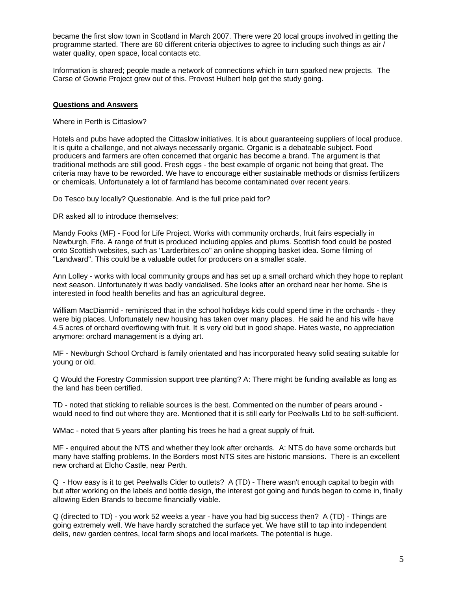became the first slow town in Scotland in March 2007. There were 20 local groups involved in getting the programme started. There are 60 different criteria objectives to agree to including such things as air / water quality, open space, local contacts etc.

Information is shared; people made a network of connections which in turn sparked new projects. The Carse of Gowrie Project grew out of this. Provost Hulbert help get the study going.

### **Questions and Answers**

Where in Perth is Cittaslow?

Hotels and pubs have adopted the Cittaslow initiatives. It is about guaranteeing suppliers of local produce. It is quite a challenge, and not always necessarily organic. Organic is a debateable subject. Food producers and farmers are often concerned that organic has become a brand. The argument is that traditional methods are still good. Fresh eggs - the best example of organic not being that great. The criteria may have to be reworded. We have to encourage either sustainable methods or dismiss fertilizers or chemicals. Unfortunately a lot of farmland has become contaminated over recent years.

Do Tesco buy locally? Questionable. And is the full price paid for?

DR asked all to introduce themselves:

Mandy Fooks (MF) - Food for Life Project. Works with community orchards, fruit fairs especially in Newburgh, Fife. A range of fruit is produced including apples and plums. Scottish food could be posted onto Scottish websites, such as "Larderbites.co" an online shopping basket idea. Some filming of "Landward". This could be a valuable outlet for producers on a smaller scale.

Ann Lolley - works with local community groups and has set up a small orchard which they hope to replant next season. Unfortunately it was badly vandalised. She looks after an orchard near her home. She is interested in food health benefits and has an agricultural degree.

William MacDiarmid - reminisced that in the school holidays kids could spend time in the orchards - they were big places. Unfortunately new housing has taken over many places. He said he and his wife have 4.5 acres of orchard overflowing with fruit. It is very old but in good shape. Hates waste, no appreciation anymore: orchard management is a dying art.

MF - Newburgh School Orchard is family orientated and has incorporated heavy solid seating suitable for young or old.

Q Would the Forestry Commission support tree planting? A: There might be funding available as long as the land has been certified.

TD - noted that sticking to reliable sources is the best. Commented on the number of pears around would need to find out where they are. Mentioned that it is still early for Peelwalls Ltd to be self-sufficient.

WMac - noted that 5 years after planting his trees he had a great supply of fruit.

MF - enquired about the NTS and whether they look after orchards. A: NTS do have some orchards but many have staffing problems. In the Borders most NTS sites are historic mansions. There is an excellent new orchard at Elcho Castle, near Perth.

Q - How easy is it to get Peelwalls Cider to outlets? A (TD) - There wasn't enough capital to begin with but after working on the labels and bottle design, the interest got going and funds began to come in, finally allowing Eden Brands to become financially viable.

Q (directed to TD) - you work 52 weeks a year - have you had big success then? A (TD) - Things are going extremely well. We have hardly scratched the surface yet. We have still to tap into independent delis, new garden centres, local farm shops and local markets. The potential is huge.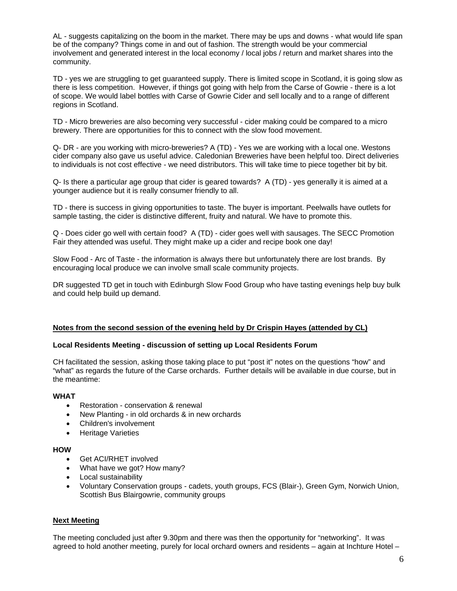AL - suggests capitalizing on the boom in the market. There may be ups and downs - what would life span be of the company? Things come in and out of fashion. The strength would be your commercial involvement and generated interest in the local economy / local jobs / return and market shares into the community.

TD - yes we are struggling to get guaranteed supply. There is limited scope in Scotland, it is going slow as there is less competition. However, if things got going with help from the Carse of Gowrie - there is a lot of scope. We would label bottles with Carse of Gowrie Cider and sell locally and to a range of different regions in Scotland.

TD - Micro breweries are also becoming very successful - cider making could be compared to a micro brewery. There are opportunities for this to connect with the slow food movement.

Q- DR - are you working with micro-breweries? A (TD) - Yes we are working with a local one. Westons cider company also gave us useful advice. Caledonian Breweries have been helpful too. Direct deliveries to individuals is not cost effective - we need distributors. This will take time to piece together bit by bit.

Q- Is there a particular age group that cider is geared towards? A (TD) - yes generally it is aimed at a younger audience but it is really consumer friendly to all.

TD - there is success in giving opportunities to taste. The buyer is important. Peelwalls have outlets for sample tasting, the cider is distinctive different, fruity and natural. We have to promote this.

Q - Does cider go well with certain food? A (TD) - cider goes well with sausages. The SECC Promotion Fair they attended was useful. They might make up a cider and recipe book one day!

Slow Food - Arc of Taste - the information is always there but unfortunately there are lost brands. By encouraging local produce we can involve small scale community projects.

DR suggested TD get in touch with Edinburgh Slow Food Group who have tasting evenings help buy bulk and could help build up demand.

### **Notes from the second session of the evening held by Dr Crispin Hayes (attended by CL)**

#### **Local Residents Meeting - discussion of setting up Local Residents Forum**

CH facilitated the session, asking those taking place to put "post it" notes on the questions "how" and "what" as regards the future of the Carse orchards. Further details will be available in due course, but in the meantime:

#### **WHAT**

- Restoration conservation & renewal
- New Planting in old orchards & in new orchards
- Children's involvement
- Heritage Varieties

### **HOW**

- Get ACI/RHET involved
- What have we got? How many?
- Local sustainability
- Voluntary Conservation groups cadets, youth groups, FCS (Blair-), Green Gym, Norwich Union, Scottish Bus Blairgowrie, community groups

### **Next Meeting**

The meeting concluded just after 9.30pm and there was then the opportunity for "networking". It was agreed to hold another meeting, purely for local orchard owners and residents – again at Inchture Hotel –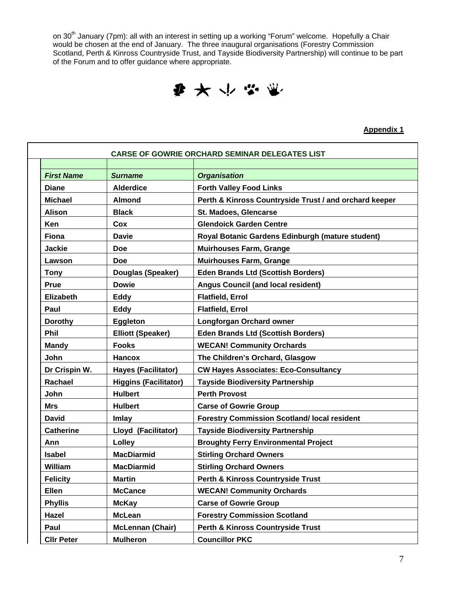on 30<sup>th</sup> January (7pm): all with an interest in setting up a working "Forum" welcome. Hopefully a Chair would be chosen at the end of January. The three inaugural organisations (Forestry Commission Scotland, Perth & Kinross Countryside Trust, and Tayside Biodiversity Partnership) will continue to be part of the Forum and to offer guidance where appropriate.

● 大 → 学 単

**Appendix 1**

|                   |                              | <b>CARSE OF GOWRIE ORCHARD SEMINAR DELEGATES LIST</b>  |
|-------------------|------------------------------|--------------------------------------------------------|
| <b>First Name</b> | <b>Surname</b>               | <b>Organisation</b>                                    |
| <b>Diane</b>      | <b>Alderdice</b>             | <b>Forth Valley Food Links</b>                         |
| <b>Michael</b>    | <b>Almond</b>                | Perth & Kinross Countryside Trust / and orchard keeper |
| <b>Alison</b>     | <b>Black</b>                 | St. Madoes, Glencarse                                  |
| Ken               | Cox                          | <b>Glendoick Garden Centre</b>                         |
| <b>Fiona</b>      | <b>Davie</b>                 | Royal Botanic Gardens Edinburgh (mature student)       |
| <b>Jackie</b>     | Doe                          | <b>Muirhouses Farm, Grange</b>                         |
| Lawson            | <b>Doe</b>                   | <b>Muirhouses Farm, Grange</b>                         |
| <b>Tony</b>       | Douglas (Speaker)            | <b>Eden Brands Ltd (Scottish Borders)</b>              |
| Prue              | <b>Dowie</b>                 | <b>Angus Council (and local resident)</b>              |
| Elizabeth         | <b>Eddy</b>                  | <b>Flatfield, Errol</b>                                |
| Paul              | <b>Eddy</b>                  | <b>Flatfield, Errol</b>                                |
| <b>Dorothy</b>    | Eggleton                     | Longforgan Orchard owner                               |
| <b>Phil</b>       | <b>Elliott (Speaker)</b>     | <b>Eden Brands Ltd (Scottish Borders)</b>              |
| <b>Mandy</b>      | <b>Fooks</b>                 | <b>WECAN! Community Orchards</b>                       |
| John              | <b>Hancox</b>                | The Children's Orchard, Glasgow                        |
| Dr Crispin W.     | <b>Hayes (Facilitator)</b>   | <b>CW Hayes Associates: Eco-Consultancy</b>            |
| Rachael           | <b>Higgins (Facilitator)</b> | <b>Tayside Biodiversity Partnership</b>                |
| John              | <b>Hulbert</b>               | <b>Perth Provost</b>                                   |
| <b>Mrs</b>        | <b>Hulbert</b>               | <b>Carse of Gowrie Group</b>                           |
| <b>David</b>      | Imlay                        | <b>Forestry Commission Scotland/ local resident</b>    |
| <b>Catherine</b>  | Lloyd (Facilitator)          | <b>Tayside Biodiversity Partnership</b>                |
| Ann               | Lolley                       | <b>Broughty Ferry Environmental Project</b>            |
| <b>Isabel</b>     | <b>MacDiarmid</b>            | <b>Stirling Orchard Owners</b>                         |
| William           | <b>MacDiarmid</b>            | <b>Stirling Orchard Owners</b>                         |
| <b>Felicity</b>   | <b>Martin</b>                | Perth & Kinross Countryside Trust                      |
| Ellen             | <b>McCance</b>               | <b>WECAN! Community Orchards</b>                       |
| <b>Phyllis</b>    | <b>McKay</b>                 | <b>Carse of Gowrie Group</b>                           |
| Hazel             | <b>McLean</b>                | <b>Forestry Commission Scotland</b>                    |
| Paul              | <b>McLennan (Chair)</b>      | Perth & Kinross Countryside Trust                      |
| <b>CIIr Peter</b> | <b>Mulheron</b>              | <b>Councillor PKC</b>                                  |